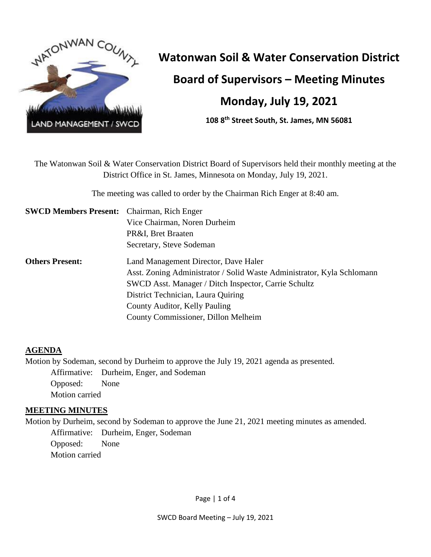

# **Watonwan Soil & Water Conservation District**

**Board of Supervisors – Meeting Minutes**

# **Monday, July 19, 2021**

**108 8th Street South, St. James, MN 56081**

The Watonwan Soil & Water Conservation District Board of Supervisors held their monthly meeting at the District Office in St. James, Minnesota on Monday, July 19, 2021.

The meeting was called to order by the Chairman Rich Enger at 8:40 am.

| <b>SWCD Members Present:</b> Chairman, Rich Enger |                                                                        |
|---------------------------------------------------|------------------------------------------------------------------------|
|                                                   | Vice Chairman, Noren Durheim                                           |
|                                                   | PR&I, Bret Braaten                                                     |
|                                                   | Secretary, Steve Sodeman                                               |
| <b>Others Present:</b>                            | Land Management Director, Dave Haler                                   |
|                                                   | Asst. Zoning Administrator / Solid Waste Administrator, Kyla Schlomann |
|                                                   | SWCD Asst. Manager / Ditch Inspector, Carrie Schultz                   |
|                                                   | District Technician, Laura Quiring                                     |
|                                                   | County Auditor, Kelly Pauling                                          |
|                                                   | County Commissioner, Dillon Melheim                                    |

# **AGENDA**

Motion by Sodeman, second by Durheim to approve the July 19, 2021 agenda as presented. Affirmative: Durheim, Enger, and Sodeman Opposed: None Motion carried

#### **MEETING MINUTES**

Motion by Durheim, second by Sodeman to approve the June 21, 2021 meeting minutes as amended. Affirmative: Durheim, Enger, Sodeman Opposed: None Motion carried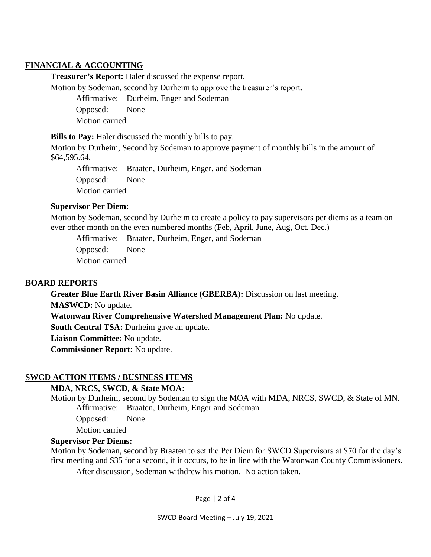## **FINANCIAL & ACCOUNTING**

**Treasurer's Report:** Haler discussed the expense report.

Motion by Sodeman, second by Durheim to approve the treasurer's report.

Affirmative: Durheim, Enger and Sodeman

Opposed: None Motion carried

**Bills to Pay:** Haler discussed the monthly bills to pay.

Motion by Durheim, Second by Sodeman to approve payment of monthly bills in the amount of \$64,595.64.

Affirmative: Braaten, Durheim, Enger, and Sodeman Opposed: None Motion carried

#### **Supervisor Per Diem:**

Motion by Sodeman, second by Durheim to create a policy to pay supervisors per diems as a team on ever other month on the even numbered months (Feb, April, June, Aug, Oct. Dec.)

Affirmative: Braaten, Durheim, Enger, and Sodeman

Opposed: None Motion carried

#### **BOARD REPORTS**

**Greater Blue Earth River Basin Alliance (GBERBA):** Discussion on last meeting. **MASWCD:** No update.

**Watonwan River Comprehensive Watershed Management Plan:** No update.

**South Central TSA:** Durheim gave an update.

**Liaison Committee:** No update.

**Commissioner Report:** No update.

#### **SWCD ACTION ITEMS / BUSINESS ITEMS**

#### **MDA, NRCS, SWCD, & State MOA:**

Motion by Durheim, second by Sodeman to sign the MOA with MDA, NRCS, SWCD, & State of MN. Affirmative: Braaten, Durheim, Enger and Sodeman

Opposed: None

Motion carried

#### **Supervisor Per Diems:**

Motion by Sodeman, second by Braaten to set the Per Diem for SWCD Supervisors at \$70 for the day's first meeting and \$35 for a second, if it occurs, to be in line with the Watonwan County Commissioners.

After discussion, Sodeman withdrew his motion. No action taken.

Page | 2 of 4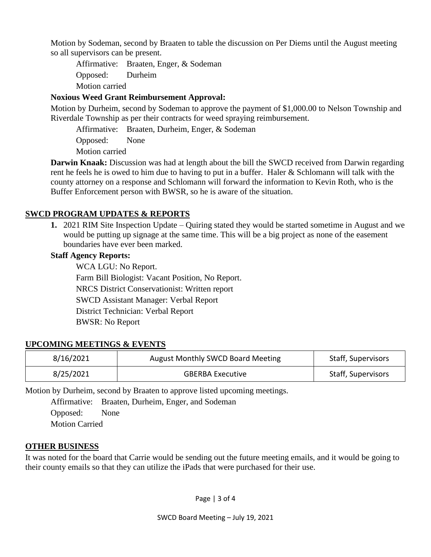Motion by Sodeman, second by Braaten to table the discussion on Per Diems until the August meeting so all supervisors can be present.

Affirmative: Braaten, Enger, & Sodeman Opposed: Durheim

Motion carried

# **Noxious Weed Grant Reimbursement Approval:**

Motion by Durheim, second by Sodeman to approve the payment of \$1,000.00 to Nelson Township and Riverdale Township as per their contracts for weed spraying reimbursement.

Affirmative: Braaten, Durheim, Enger, & Sodeman

Opposed: None Motion carried

**Darwin Knaak:** Discussion was had at length about the bill the SWCD received from Darwin regarding rent he feels he is owed to him due to having to put in a buffer. Haler & Schlomann will talk with the county attorney on a response and Schlomann will forward the information to Kevin Roth, who is the Buffer Enforcement person with BWSR, so he is aware of the situation.

# **SWCD PROGRAM UPDATES & REPORTS**

**1.** 2021 RIM Site Inspection Update – Quiring stated they would be started sometime in August and we would be putting up signage at the same time. This will be a big project as none of the easement boundaries have ever been marked.

## **Staff Agency Reports:**

WCA LGU: No Report. Farm Bill Biologist: Vacant Position, No Report. NRCS District Conservationist: Written report SWCD Assistant Manager: Verbal Report District Technician: Verbal Report BWSR: No Report

# **UPCOMING MEETINGS & EVENTS**

| 8/16/2021 | <b>August Monthly SWCD Board Meeting</b> | Staff, Supervisors |
|-----------|------------------------------------------|--------------------|
| 8/25/2021 | <b>GBERBA Executive</b>                  | Staff, Supervisors |

Motion by Durheim, second by Braaten to approve listed upcoming meetings.

Affirmative: Braaten, Durheim, Enger, and Sodeman Opposed: None Motion Carried

# **OTHER BUSINESS**

It was noted for the board that Carrie would be sending out the future meeting emails, and it would be going to their county emails so that they can utilize the iPads that were purchased for their use.